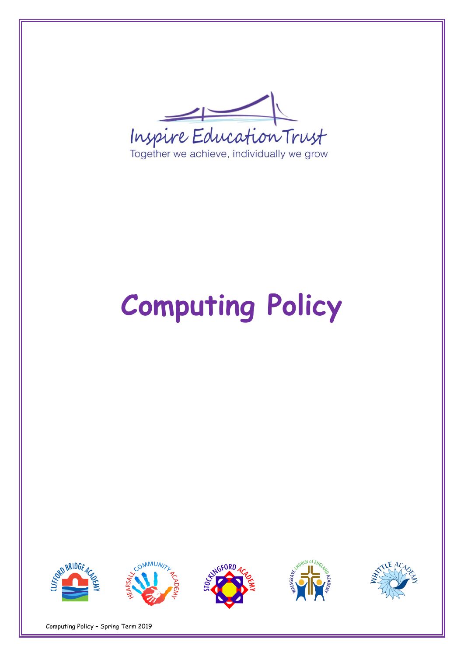

# **Computing Policy**











Computing Policy – Spring Term 2019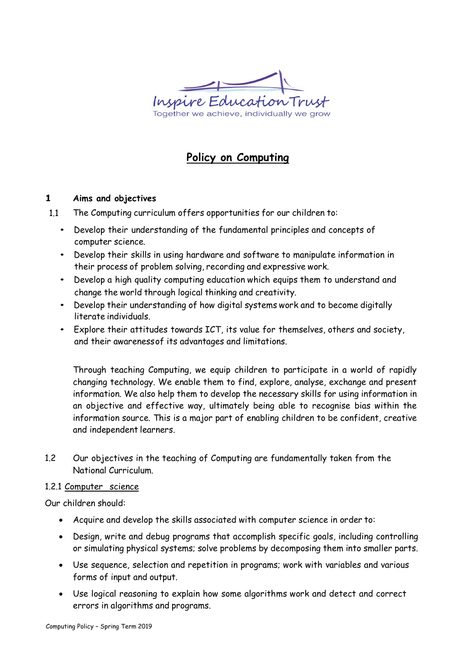

# **Policy on Computing**

## **1 Aims and objectives**

- 1.1 The Computing curriculum offers opportunities for our children to:
	- Develop their understanding of the fundamental principles and concepts of computer science.
	- Develop their skills in using hardware and software to manipulate information in their process of problem solving, recording and expressive work.
	- Develop a high quality computing education which equips them to understand and change the world through logical thinking and creativity.
	- Develop their understanding of how digital systems work and to become digitally literate individuals.
	- Explore their attitudes towards ICT, its value for themselves, others and society, and their awarenessof its advantages and limitations.

Through teaching Computing, we equip children to participate in a world of rapidly changing technology. We enable them to find, explore, analyse, exchange and present information. We also help them to develop the necessary skills for using information in an objective and effective way, ultimately being able to recognise bias within the information source. This is a major part of enabling children to be confident, creative and independent learners.

1.2 Our objectives in the teaching of Computing are fundamentally taken from the National Curriculum.

#### 1.2.1 Computer science

Our children should:

- Acquire and develop the skills associated with computer science in order to:
- Design, write and debug programs that accomplish specific goals, including controlling or simulating physical systems; solve problems by decomposing them into smaller parts.
- Use sequence, selection and repetition in programs; work with variables and various forms of input and output.
- Use logical reasoning to explain how some algorithms work and detect and correct errors in algorithms and programs.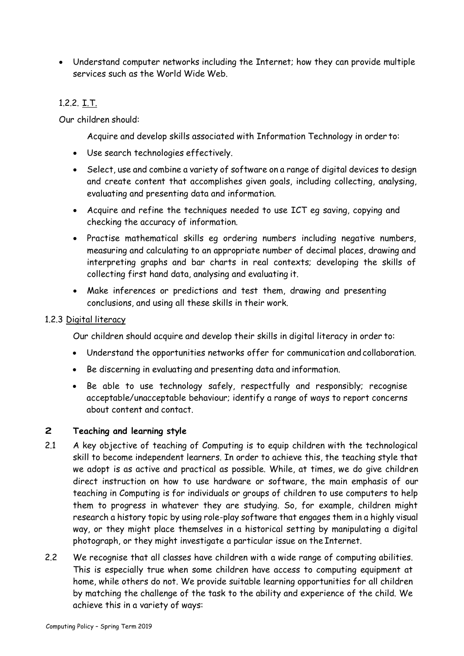Understand computer networks including the Internet; how they can provide multiple services such as the World Wide Web.

# 1.2.2. I.T.

Our children should:

Acquire and develop skills associated with Information Technology in order to:

- Use search technologies effectively.
- Select, use and combine a variety of software on a range of digital devices to design and create content that accomplishes given goals, including collecting, analysing, evaluating and presenting data and information.
- Acquire and refine the techniques needed to use ICT eg saving, copying and checking the accuracy of information.
- Practise mathematical skills eg ordering numbers including negative numbers, measuring and calculating to an appropriate number of decimal places, drawing and interpreting graphs and bar charts in real contexts; developing the skills of collecting first hand data, analysing and evaluating it.
- Make inferences or predictions and test them, drawing and presenting conclusions, and using all these skills in their work.

#### 1.2.3 Digital literacy

Our children should acquire and develop their skills in digital literacy in order to:

- Understand the opportunities networks offer for communication and collaboration.
- Be discerning in evaluating and presenting data and information.
- Be able to use technology safely, respectfully and responsibly; recognise acceptable/unacceptable behaviour; identify a range of ways to report concerns about content and contact.

#### **2 Teaching and learning style**

- 2.1 A key objective of teaching of Computing is to equip children with the technological skill to become independent learners. In order to achieve this, the teaching style that we adopt is as active and practical as possible. While, at times, we do give children direct instruction on how to use hardware or software, the main emphasis of our teaching in Computing is for individuals or groups of children to use computers to help them to progress in whatever they are studying. So, for example, children might research a history topic by using role-play software that engages them in a highly visual way, or they might place themselves in a historical setting by manipulating a digital photograph, or they might investigate a particular issue on the Internet.
- 2.2 We recognise that all classes have children with a wide range of computing abilities. This is especially true when some children have access to computing equipment at home, while others do not. We provide suitable learning opportunities for all children by matching the challenge of the task to the ability and experience of the child. We achieve this in a variety of ways: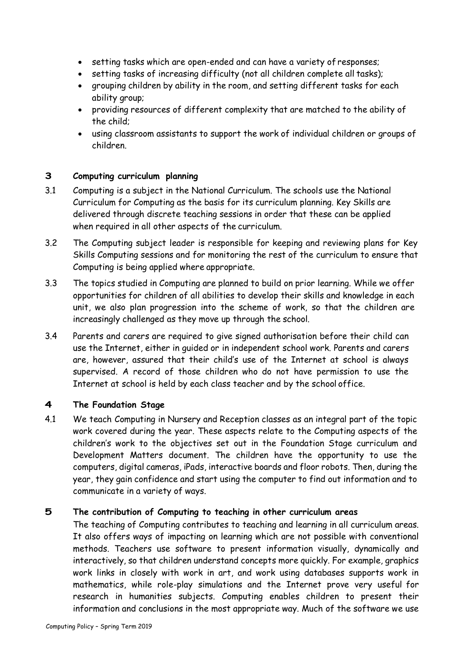- setting tasks which are open-ended and can have a variety of responses;
- setting tasks of increasing difficulty (not all children complete all tasks);
- grouping children by ability in the room, and setting different tasks for each ability group;
- providing resources of different complexity that are matched to the ability of the child;
- using classroom assistants to support the work of individual children or groups of children.

## **3 Computing curriculum planning**

- 3.1 Computing is a subject in the National Curriculum. The schools use the National Curriculum for Computing as the basis for its curriculum planning. Key Skills are delivered through discrete teaching sessions in order that these can be applied when required in all other aspects of the curriculum.
- 3.2 The Computing subject leader is responsible for keeping and reviewing plans for Key Skills Computing sessions and for monitoring the rest of the curriculum to ensure that Computing is being applied where appropriate.
- 3.3 The topics studied in Computing are planned to build on prior learning. While we offer opportunities for children of all abilities to develop their skills and knowledge in each unit, we also plan progression into the scheme of work, so that the children are increasingly challenged as they move up through the school.
- 3.4 Parents and carers are required to give signed authorisation before their child can use the Internet, either in guided or in independent school work. Parents and carers are, however, assured that their child's use of the Internet at school is always supervised. A record of those children who do not have permission to use the Internet at school is held by each class teacher and by the school office.

# **4 The Foundation Stage**

4.1 We teach Computing in Nursery and Reception classes as an integral part of the topic work covered during the year. These aspects relate to the Computing aspects of the children's work to the objectives set out in the Foundation Stage curriculum and Development Matters document. The children have the opportunity to use the computers, digital cameras, iPads, interactive boards and floor robots. Then, during the year, they gain confidence and start using the computer to find out information and to communicate in a variety of ways.

#### **5 The contribution of Computing to teaching in other curriculum areas**

The teaching of Computing contributes to teaching and learning in all curriculum areas. It also offers ways of impacting on learning which are not possible with conventional methods. Teachers use software to present information visually, dynamically and interactively, so that children understand concepts more quickly. For example, graphics work links in closely with work in art, and work using databases supports work in mathematics, while role-play simulations and the Internet prove very useful for research in humanities subjects. Computing enables children to present their information and conclusions in the most appropriate way. Much of the software we use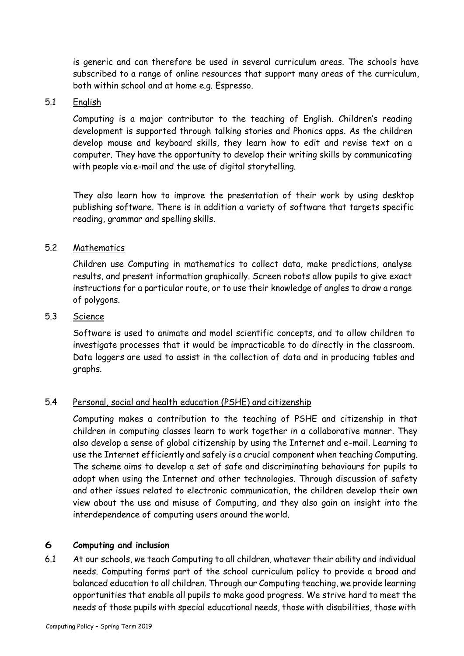is generic and can therefore be used in several curriculum areas. The schools have subscribed to a range of online resources that support many areas of the curriculum, both within school and at home e.g. Espresso.

#### 5.1 English

Computing is a major contributor to the teaching of English. Children's reading development is supported through talking stories and Phonics apps. As the children develop mouse and keyboard skills, they learn how to edit and revise text on a computer. They have the opportunity to develop their writing skills by communicating with people via e-mail and the use of digital storytelling.

They also learn how to improve the presentation of their work by using desktop publishing software. There is in addition a variety of software that targets specific reading, grammar and spelling skills.

#### 5.2 Mathematics

Children use Computing in mathematics to collect data, make predictions, analyse results, and present information graphically. Screen robots allow pupils to give exact instructions for a particular route, or to use their knowledge of angles to draw a range of polygons.

#### 5.3 Science

Software is used to animate and model scientific concepts, and to allow children to investigate processes that it would be impracticable to do directly in the classroom. Data loggers are used to assist in the collection of data and in producing tables and graphs.

#### 5.4 Personal, social and health education (PSHE) and citizenship

Computing makes a contribution to the teaching of PSHE and citizenship in that children in computing classes learn to work together in a collaborative manner. They also develop a sense of global citizenship by using the Internet and e-mail. Learning to use the Internet efficiently and safely is a crucial component when teaching Computing. The scheme aims to develop a set of safe and discriminating behaviours for pupils to adopt when using the Internet and other technologies. Through discussion of safety and other issues related to electronic communication, the children develop their own view about the use and misuse of Computing, and they also gain an insight into the interdependence of computing users around the world.

#### **6 Computing and inclusion**

6.1 At our schools, we teach Computing to all children, whatever their ability and individual needs. Computing forms part of the school curriculum policy to provide a broad and balanced education to all children. Through our Computing teaching, we provide learning opportunities that enable all pupils to make good progress. We strive hard to meet the needs of those pupils with special educational needs, those with disabilities, those with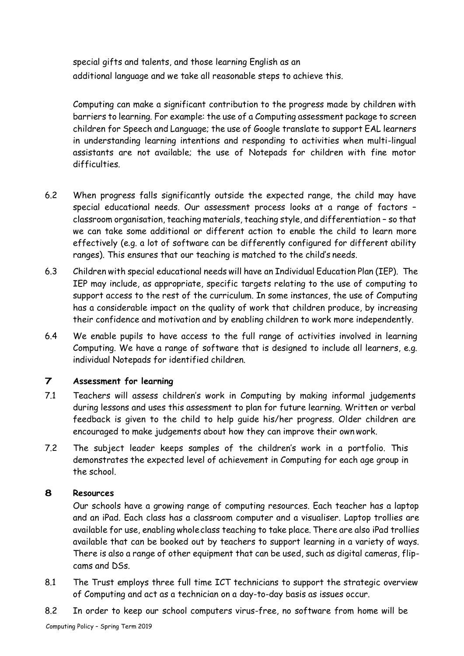special gifts and talents, and those learning English as an additional language and we take all reasonable steps to achieve this.

Computing can make a significant contribution to the progress made by children with barriers to learning. For example: the use of a Computing assessment package to screen children for Speech and Language; the use of Google translate to support EAL learners in understanding learning intentions and responding to activities when multi-lingual assistants are not available; the use of Notepads for children with fine motor difficulties.

- 6.2 When progress falls significantly outside the expected range, the child may have special educational needs. Our assessment process looks at a range of factors – classroom organisation, teaching materials, teaching style, and differentiation – so that we can take some additional or different action to enable the child to learn more effectively (e.g. a lot of software can be differently configured for different ability ranges). This ensures that our teaching is matched to the child's needs.
- 6.3 Children with special educational needs will have an Individual Education Plan (IEP). The IEP may include, as appropriate, specific targets relating to the use of computing to support access to the rest of the curriculum. In some instances, the use of Computing has a considerable impact on the quality of work that children produce, by increasing their confidence and motivation and by enabling children to work more independently.
- 6.4 We enable pupils to have access to the full range of activities involved in learning Computing. We have a range of software that is designed to include all learners, e.g. individual Notepads for identified children.

# **7 Assessment for learning**

- 7.1 Teachers will assess children's work in Computing by making informal judgements during lessons and uses this assessment to plan for future learning. Written or verbal feedback is given to the child to help guide his/her progress. Older children are encouraged to make judgements about how they can improve their own work.
- 7.2 The subject leader keeps samples of the children's work in a portfolio. This demonstrates the expected level of achievement in Computing for each age group in the school.

#### **8 Resources**

Our schools have a growing range of computing resources. Each teacher has a laptop and an iPad. Each class has a classroom computer and a visualiser. Laptop trollies are available for use, enabling wholeclass teaching to take place. There are also iPad trollies available that can be booked out by teachers to support learning in a variety of ways. There is also a range of other equipment that can be used, such as digital cameras, flipcams and DSs.

- 8.1 The Trust employs three full time ICT technicians to support the strategic overview of Computing and act as a technician on a day-to-day basis as issues occur.
- 8.2 In order to keep our school computers virus-free, no software from home will be